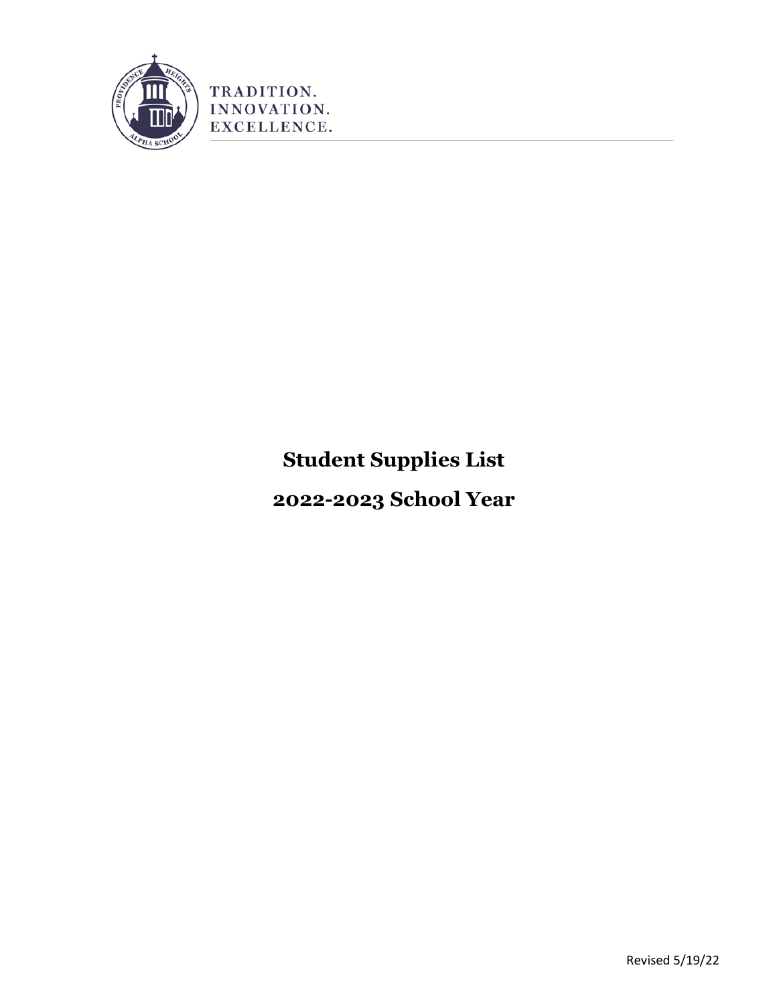

# **Student Supplies List**

**2022-2023 School Year**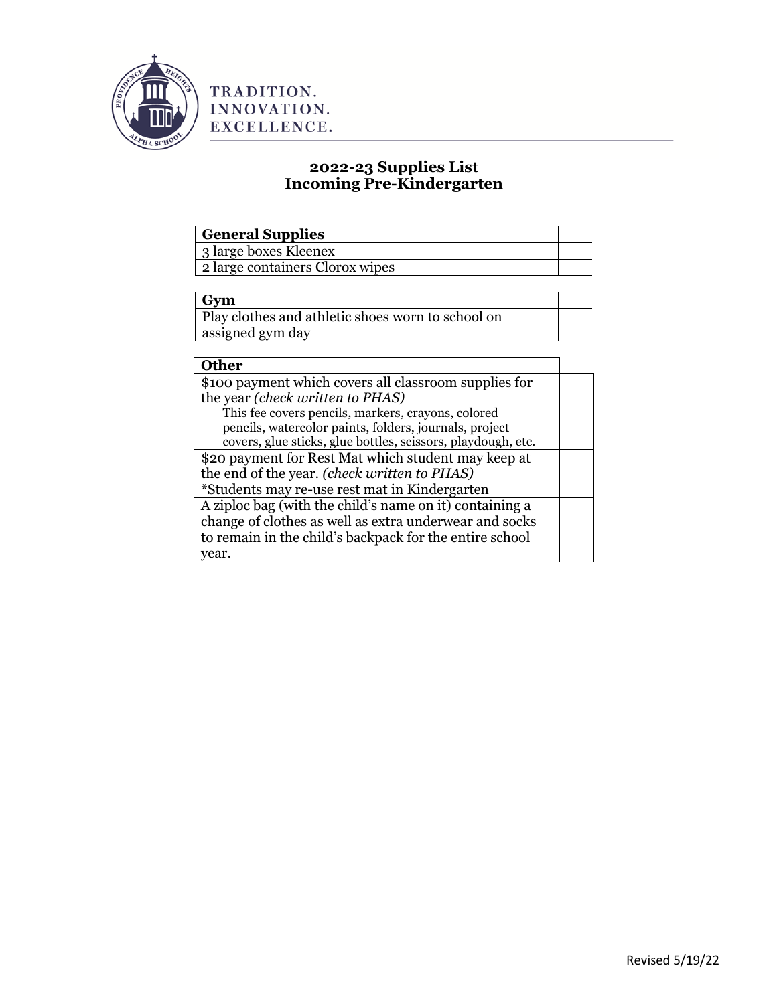

# **2022-23 Supplies List Incoming Pre-Kindergarten**

# **General Supplies**

3 large boxes Kleenex

2 large containers Clorox wipes

## **Gym**

Play clothes and athletic shoes worn to school on assigned gym day

# **Other**

| \$100 payment which covers all classroom supplies for        |  |
|--------------------------------------------------------------|--|
| the year (check written to PHAS)                             |  |
| This fee covers pencils, markers, crayons, colored           |  |
| pencils, watercolor paints, folders, journals, project       |  |
| covers, glue sticks, glue bottles, scissors, playdough, etc. |  |
| \$20 payment for Rest Mat which student may keep at          |  |
| the end of the year. (check written to PHAS)                 |  |
| *Students may re-use rest mat in Kindergarten                |  |
| A ziploc bag (with the child's name on it) containing a      |  |
| change of clothes as well as extra underwear and socks       |  |
| to remain in the child's backpack for the entire school      |  |
| vear.                                                        |  |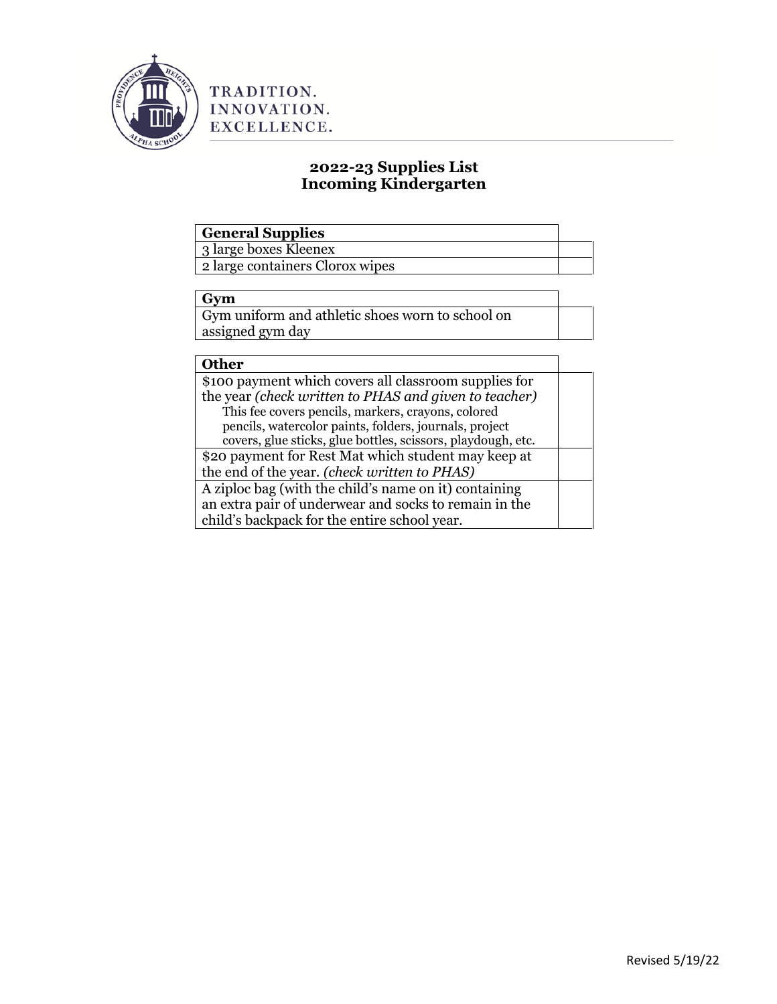

# **2022-23 Supplies List Incoming Kindergarten**

# **General Supplies**

3 large boxes Kleenex

2 large containers Clorox wipes

## **Gym**

Gym uniform and athletic shoes worn to school on assigned gym day

## **Other**

| \$100 payment which covers all classroom supplies for        |  |
|--------------------------------------------------------------|--|
| the year (check written to PHAS and given to teacher)        |  |
| This fee covers pencils, markers, crayons, colored           |  |
| pencils, watercolor paints, folders, journals, project       |  |
| covers, glue sticks, glue bottles, scissors, playdough, etc. |  |
| \$20 payment for Rest Mat which student may keep at          |  |
| the end of the year. ( <i>check written to PHAS</i> )        |  |
| A ziploc bag (with the child's name on it) containing        |  |
| an extra pair of underwear and socks to remain in the        |  |
| child's backpack for the entire school year.                 |  |
|                                                              |  |

٦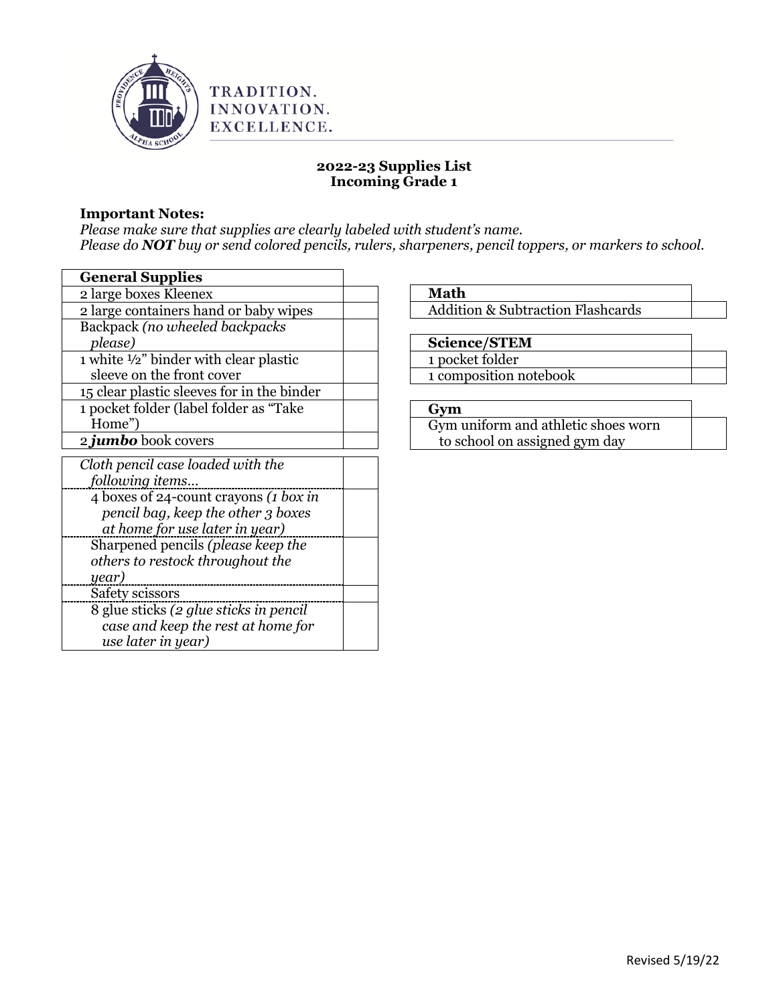

## **Important Notes:**

*Please make sure that supplies are clearly labeled with student's name. Please do NOT buy or send colored pencils, rulers, sharpeners, pencil toppers, or markers to school.*

| <b>General Supplies</b>                    |  |
|--------------------------------------------|--|
| 2 large boxes Kleenex                      |  |
| 2 large containers hand or baby wipes      |  |
| Backpack (no wheeled backpacks             |  |
| please)                                    |  |
| 1 white 1/2" binder with clear plastic     |  |
| sleeve on the front cover                  |  |
| 15 clear plastic sleeves for in the binder |  |
| 1 pocket folder (label folder as "Take     |  |
| Home")                                     |  |
| 2 <i>jumbo</i> book covers                 |  |
| Cloth pencil case loaded with the          |  |
| following items                            |  |
| 4 boxes of 24-count crayons (1 box in      |  |
| pencil bag, keep the other 3 boxes         |  |
| at home for use later in year)             |  |
| Sharpened pencils (please keep the         |  |
| others to restock throughout the           |  |
| year)                                      |  |
| Safety scissors                            |  |
| 8 glue sticks (2 glue sticks in pencil     |  |
| case and keep the rest at home for         |  |
| use later in year)                         |  |

**Math**

Addition & Subtraction Flashcards

## **Science/STEM**

- 1 pocket folder
- 1 composition notebook

## **Gym**

Gym uniform and athletic shoes worn to school on assigned gym day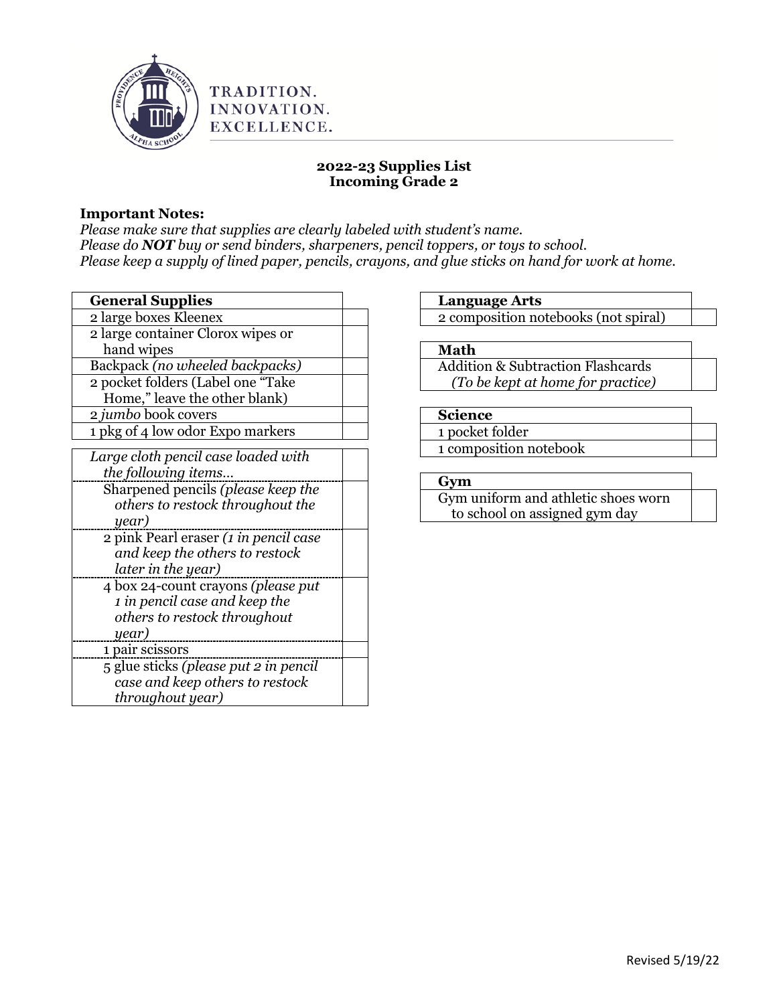

## **Important Notes:**

*Please make sure that supplies are clearly labeled with student's name. Please do NOT buy or send binders, sharpeners, pencil toppers, or toys to school. Please keep a supply of lined paper, pencils, crayons, and glue sticks on hand for work at home.* 

| <b>General Supplies</b>               |  |
|---------------------------------------|--|
| 2 large boxes Kleenex                 |  |
| 2 large container Clorox wipes or     |  |
| hand wipes                            |  |
| Backpack (no wheeled backpacks)       |  |
| 2 pocket folders (Label one "Take     |  |
| Home," leave the other blank)         |  |
| 2 jumbo book covers                   |  |
| 1 pkg of 4 low odor Expo markers      |  |
| Large cloth pencil case loaded with   |  |
| the following items                   |  |
| Sharpened pencils (please keep the    |  |
| others to restock throughout the      |  |
| year)                                 |  |
| 2 pink Pearl eraser (1 in pencil case |  |
| and keep the others to restock        |  |
| later in the year)                    |  |
| 4 box 24-count crayons (please put    |  |
| 1 in pencil case and keep the         |  |
| others to restock throughout          |  |
| year)                                 |  |
| 1 pair scissors                       |  |
| 5 glue sticks (please put 2 in pencil |  |
| case and keep others to restock       |  |
| throughout year)                      |  |

## **Language Arts**

2 composition notebooks (not spiral)

## **Math**

Addition & Subtraction Flashcards *(To be kept at home for practice)*

## **Science**

1 pocket folder 1 composition notebook

## **Gym**

Gym uniform and athletic shoes worn to school on assigned gym day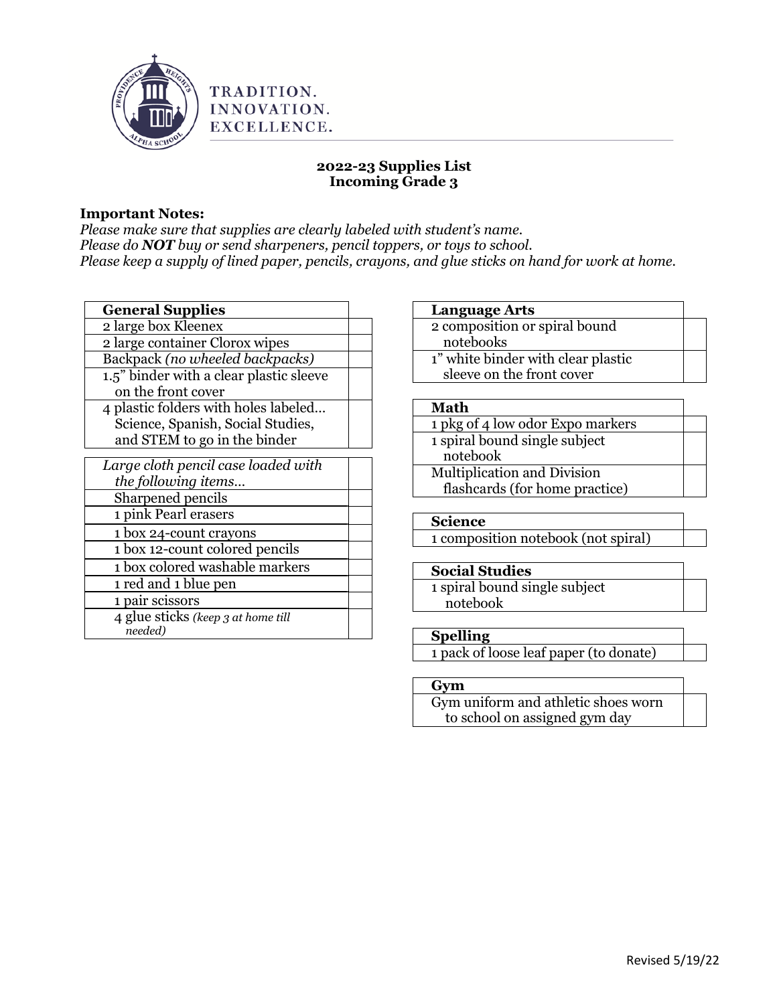

## **Important Notes:**

*Please make sure that supplies are clearly labeled with student's name. Please do NOT buy or send sharpeners, pencil toppers, or toys to school. Please keep a supply of lined paper, pencils, crayons, and glue sticks on hand for work at home.* 

| <b>General Supplies</b>                     |  |
|---------------------------------------------|--|
| 2 large box Kleenex                         |  |
| 2 large container Clorox wipes              |  |
| Backpack (no wheeled backpacks)             |  |
| 1.5" binder with a clear plastic sleeve     |  |
| on the front cover                          |  |
| 4 plastic folders with holes labeled        |  |
| Science, Spanish, Social Studies,           |  |
| and STEM to go in the binder                |  |
|                                             |  |
| Large cloth pencil case loaded with         |  |
| the following items                         |  |
| Sharpened pencils                           |  |
| 1 pink Pearl erasers                        |  |
| 1 box 24-count crayons                      |  |
| 1 box 12-count colored pencils              |  |
| 1 box colored washable markers              |  |
| 1 red and 1 blue pen                        |  |
| 1 pair scissors                             |  |
| $\lambda$ gluo gtiolza (kaon o at kama till |  |

4 glue sticks *(keep 3 at home till needed)*

## **Language Arts**

2 composition or spiral bound notebooks 1" white binder with clear plastic sleeve on the front cover

#### **Math**

| 1 pkg of 4 low odor Expo markers |  |
|----------------------------------|--|
| 1 spiral bound single subject    |  |
| notebook                         |  |
| Multiplication and Division      |  |
| flashcards (for home practice)   |  |

## **Science**

1 composition notebook (not spiral)

## **Social Studies**

1 spiral bound single subject notebook

## **Spelling**

1 pack of loose leaf paper (to donate)

## **Gym**

Gym uniform and athletic shoes worn to school on assigned gym day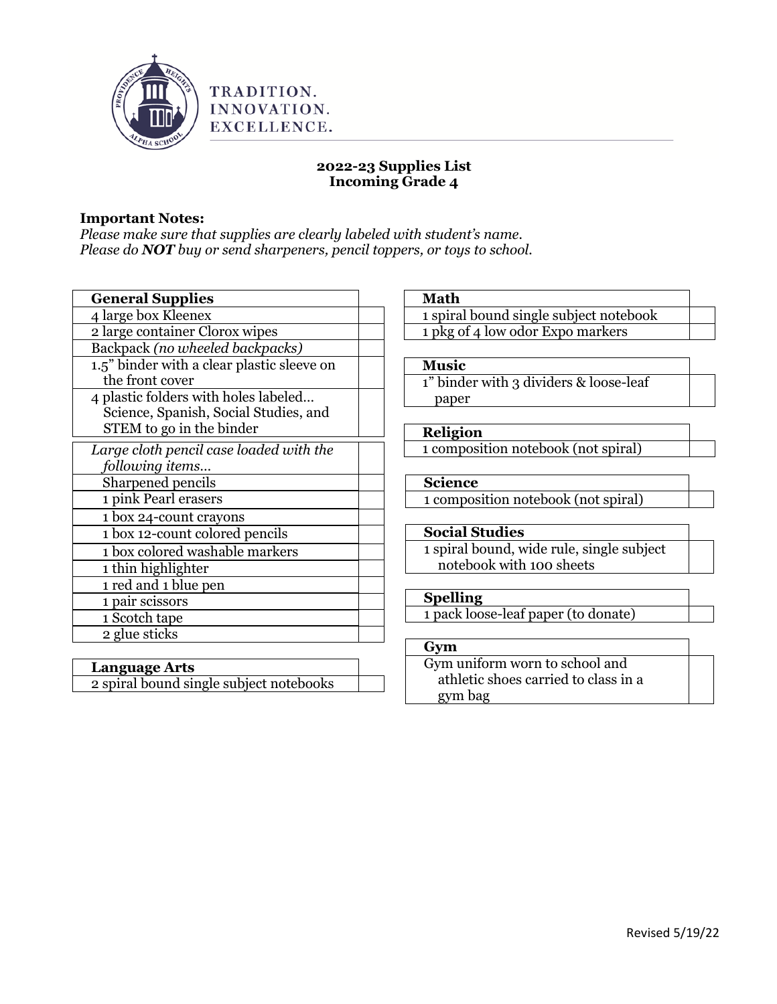

## **Important Notes:**

*Please make sure that supplies are clearly labeled with student's name. Please do NOT buy or send sharpeners, pencil toppers, or toys to school.*

| <b>General Supplies</b>                    |  |
|--------------------------------------------|--|
| 4 large box Kleenex                        |  |
| 2 large container Clorox wipes             |  |
| Backpack (no wheeled backpacks)            |  |
| 1.5" binder with a clear plastic sleeve on |  |
| the front cover                            |  |
| 4 plastic folders with holes labeled       |  |
| Science, Spanish, Social Studies, and      |  |
| STEM to go in the binder                   |  |
| Large cloth pencil case loaded with the    |  |
| following items                            |  |
| Sharpened pencils                          |  |
| 1 pink Pearl erasers                       |  |
| 1 box 24-count crayons                     |  |
| 1 box 12-count colored pencils             |  |
| 1 box colored washable markers             |  |
| 1 thin highlighter                         |  |
| 1 red and 1 blue pen                       |  |
| 1 pair scissors                            |  |
| 1 Scotch tape                              |  |
| 2 glue sticks                              |  |

## **Language Arts** 2 spiral bound single subject notebooks

| <b>Math</b>                               |
|-------------------------------------------|
| 1 spiral bound single subject notebook    |
| 1 pkg of 4 low odor Expo markers          |
|                                           |
| <b>Music</b>                              |
| 1" binder with 3 dividers & loose-leaf    |
| paper                                     |
|                                           |
| <b>Religion</b>                           |
| 1 composition notebook (not spiral)       |
|                                           |
| <b>Science</b>                            |
| 1 composition notebook (not spiral)       |
|                                           |
| <b>Social Studies</b>                     |
| 1 spiral bound, wide rule, single subject |
| notebook with 100 sheets                  |
|                                           |
| <b>Spelling</b>                           |
| 1 pack loose-leaf paper (to donate)       |
|                                           |
| Gym                                       |
| Gym uniform worn to school and            |
| athletic shoes carried to class in a      |
| gym bag                                   |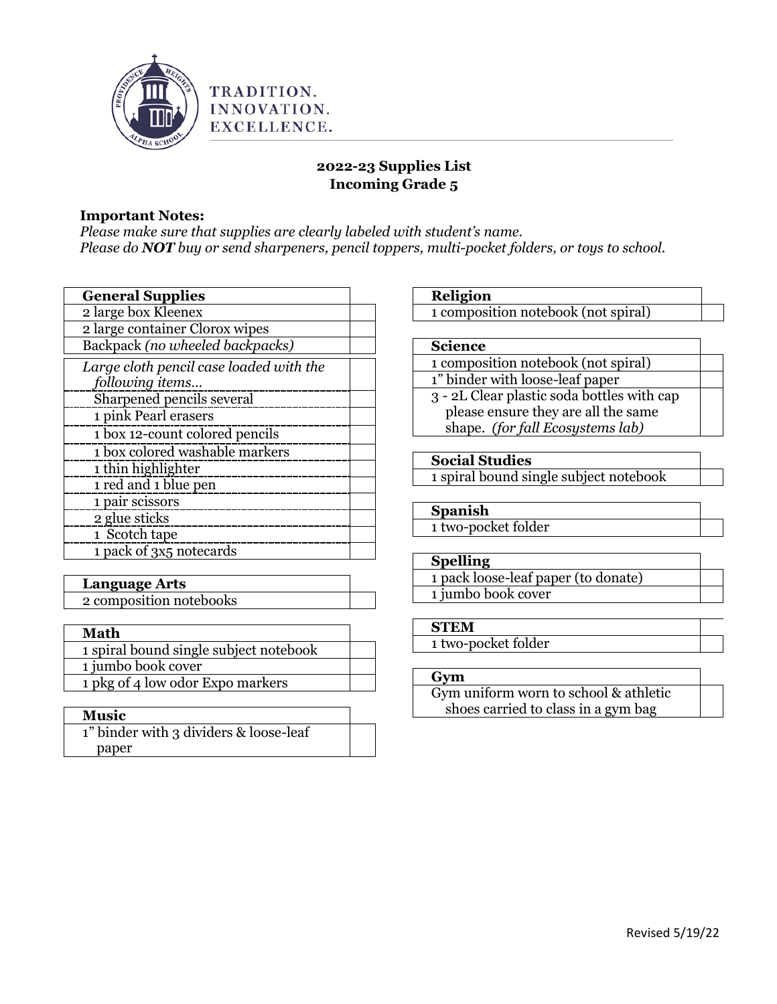

## **Important Notes:**

*Please make sure that supplies are clearly labeled with student's name. Please do NOT buy or send sharpeners, pencil toppers, multi-pocket folders, or toys to school.*

| <b>General Supplies</b>                 |  |
|-----------------------------------------|--|
| 2 large box Kleenex                     |  |
| 2 large container Clorox wipes          |  |
| Backpack (no wheeled backpacks)         |  |
| Large cloth pencil case loaded with the |  |
| following items                         |  |
| Sharpened pencils several               |  |
| 1 pink Pearl erasers                    |  |
| 1 box 12-count colored pencils          |  |
| 1 box colored washable markers          |  |
| 1 thin highlighter                      |  |
| 1 red and 1 blue pen                    |  |
| 1 pair scissors                         |  |
| 2 glue sticks                           |  |
| 1 Scotch tape                           |  |
| 1 pack of 3x5 notecards                 |  |

| <b>Language Arts</b>    |  |
|-------------------------|--|
| 2 composition notebooks |  |

| <b>Math</b>                            |  |
|----------------------------------------|--|
| 1 spiral bound single subject notebook |  |
| 1 jumbo book cover                     |  |
| 1 pkg of 4 low odor Expo markers       |  |

## **Music**

1" binder with 3 dividers & loose-leaf paper

## **Religion**

1 composition notebook (not spiral)

## **Science**

1 composition notebook (not spiral) 1" binder with loose-leaf paper

3 - 2L Clear plastic soda bottles with cap please ensure they are all the same shape. *(for fall Ecosystems lab)*

## **Social Studies**

1 spiral bound single subject notebook

## **Spanish**

1 two-pocket folder

## **Spelling**

1 pack loose-leaf paper (to donate) 1 jumbo book cover

## **STEM**

1 two-pocket folder

#### **Gym**

Gym uniform worn to school & athletic shoes carried to class in a gym bag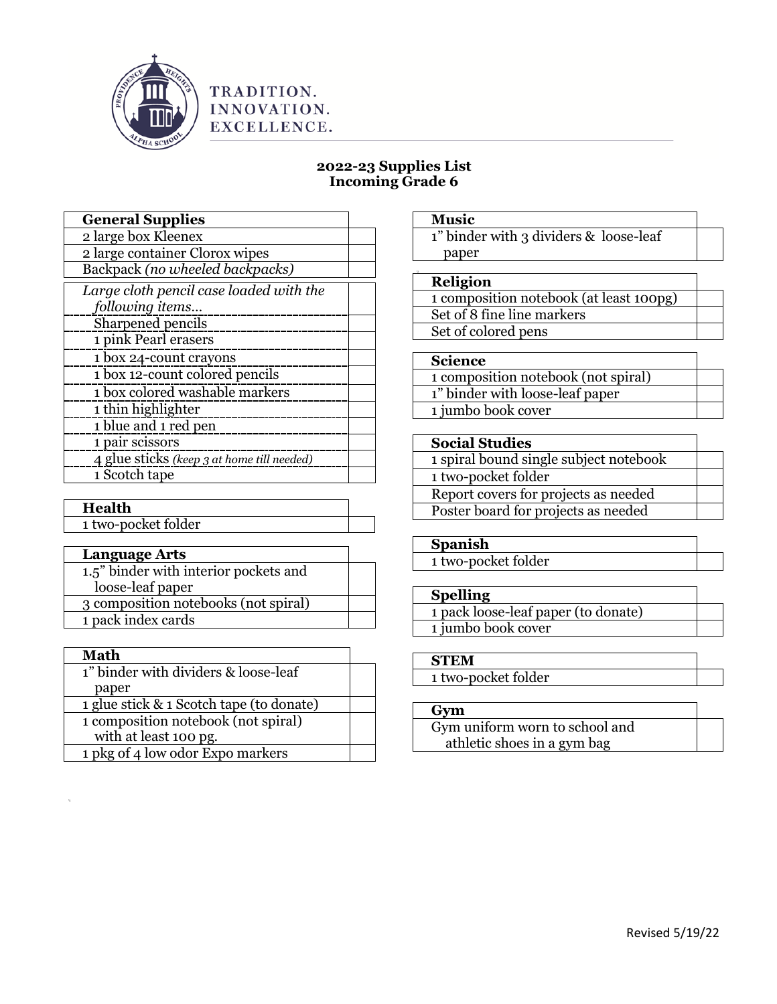

# INNOVATION. EXCELLENCE.

TRADITION.

## **2022-23 Supplies List Incoming Grade 6**

| <b>General Supplies</b>                    |  |
|--------------------------------------------|--|
| 2 large box Kleenex                        |  |
| 2 large container Clorox wipes             |  |
| Backpack (no wheeled backpacks)            |  |
| Large cloth pencil case loaded with the    |  |
| following items                            |  |
| Sharpened pencils                          |  |
| 1 pink Pearl erasers                       |  |
| 1 box 24-count crayons                     |  |
| 1 box 12-count colored pencils             |  |
| 1 box colored washable markers             |  |
| 1 thin highlighter                         |  |
| 1 blue and 1 red pen                       |  |
| 1 pair scissors                            |  |
| 4 glue sticks (keep 3 at home till needed) |  |
| 1 Scotch tape                              |  |

## **Health**

1 two-pocket folder

| <b>Language Arts</b>                  |  |
|---------------------------------------|--|
| 1.5" binder with interior pockets and |  |
| loose-leaf paper                      |  |
| 3 composition notebooks (not spiral)  |  |
| 1 pack index cards                    |  |
|                                       |  |

| Math                                     |  |
|------------------------------------------|--|
| 1" binder with dividers & loose-leaf     |  |
| paper                                    |  |
| 1 glue stick & 1 Scotch tape (to donate) |  |
| 1 composition notebook (not spiral)      |  |
| with at least 100 pg.                    |  |
| 1 pkg of 4 low odor Expo markers         |  |

#### **Music**

1" binder with 3 dividers & loose-leaf paper

#### **Religion**

1 composition notebook (at least 100pg) Set of 8 fine line markers Set of colored pens

#### **Science**

1 composition notebook (not spiral) 1" binder with loose-leaf paper 1 jumbo book cover

#### **Social Studies**

1 spiral bound single subject notebook 1 two-pocket folder

Report covers for projects as needed Poster board for projects as needed

#### **Spanish**

1 two-pocket folder

## **Spelling**

1 pack loose-leaf paper (to donate) 1 jumbo book cover

## **STEM**

1 two-pocket folder

## **Gym**

Gym uniform worn to school and athletic shoes in a gym bag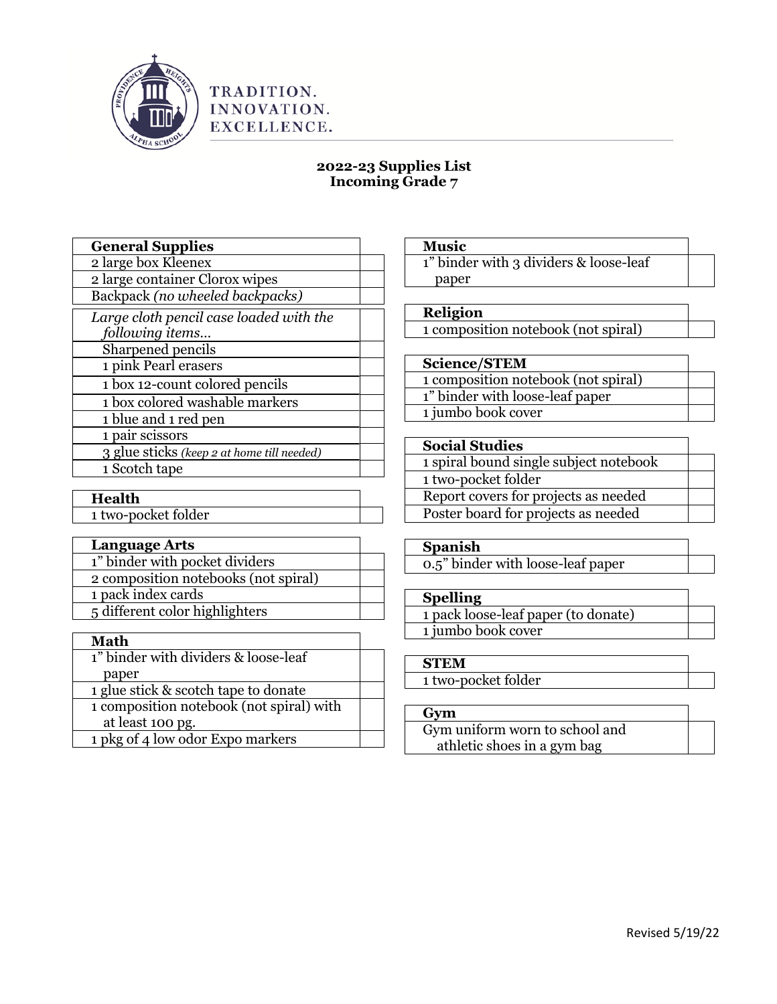

## **2022-23 Supplies List Incoming Grade 7**

| <b>General Supplies</b>                    |  |
|--------------------------------------------|--|
| 2 large box Kleenex                        |  |
| 2 large container Clorox wipes             |  |
| Backpack (no wheeled backpacks)            |  |
| Large cloth pencil case loaded with the    |  |
| following items                            |  |
| Sharpened pencils                          |  |
| 1 pink Pearl erasers                       |  |
| 1 box 12-count colored pencils             |  |
| 1 box colored washable markers             |  |
| 1 blue and 1 red pen                       |  |
| 1 pair scissors                            |  |
| 3 glue sticks (keep 2 at home till needed) |  |
| 1 Scotch tape                              |  |

## **Health**

1 two-pocket folder

|  | Anguage Arts: |  |
|--|---------------|--|
|  |               |  |

| 1" binder with pocket dividers       |  |
|--------------------------------------|--|
| 2 composition notebooks (not spiral) |  |
| 1 pack index cards                   |  |
| 5 different color highlighters       |  |

| <b>Math</b>                              |  |
|------------------------------------------|--|
| 1" binder with dividers & loose-leaf     |  |
| paper                                    |  |
| 1 glue stick & scotch tape to donate     |  |
| 1 composition notebook (not spiral) with |  |
| at least 100 pg.                         |  |
| 1 pkg of 4 low odor Expo markers         |  |

**Music** 1" binder with 3 dividers & loose-leaf paper

## **Religion**

1 composition notebook (not spiral)

#### **Science/STEM**

| 1 composition notebook (not spiral) |  |
|-------------------------------------|--|
| 1" binder with loose-leaf paper     |  |
| 1 jumbo book cover                  |  |

#### **Social Studies**

## **Spanish**

0.5" binder with loose-leaf paper

## **Spelling**

1 pack loose-leaf paper (to donate) 1 jumbo book cover

### **STEM**

1 two-pocket folder

## **Gym**

Gym uniform worn to school and athletic shoes in a gym bag